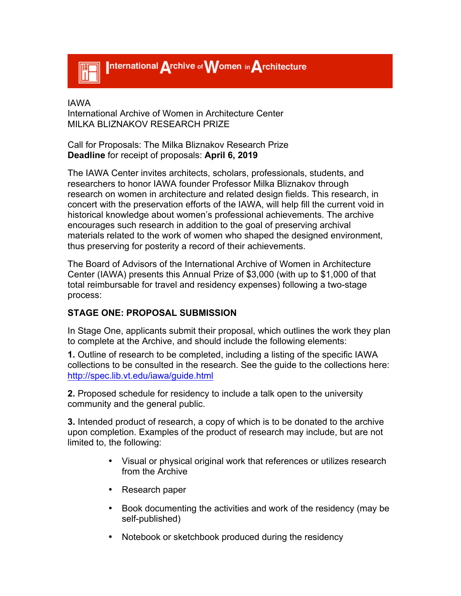

IAWA International Archive of Women in Architecture Center MILKA BLIZNAKOV RESEARCH PRIZE

Call for Proposals: The Milka Bliznakov Research Prize **Deadline** for receipt of proposals: **April 6, 2019**

The IAWA Center invites architects, scholars, professionals, students, and researchers to honor IAWA founder Professor Milka Bliznakov through research on women in architecture and related design fields. This research, in concert with the preservation efforts of the IAWA, will help fill the current void in historical knowledge about women's professional achievements. The archive encourages such research in addition to the goal of preserving archival materials related to the work of women who shaped the designed environment, thus preserving for posterity a record of their achievements.

The Board of Advisors of the International Archive of Women in Architecture Center (IAWA) presents this Annual Prize of \$3,000 (with up to \$1,000 of that total reimbursable for travel and residency expenses) following a two-stage process:

## **STAGE ONE: PROPOSAL SUBMISSION**

In Stage One, applicants submit their proposal, which outlines the work they plan to complete at the Archive, and should include the following elements:

**1.** Outline of research to be completed, including a listing of the specific IAWA collections to be consulted in the research. See the guide to the collections here: http://spec.lib.vt.edu/iawa/guide.html

**2.** Proposed schedule for residency to include a talk open to the university community and the general public.

**3.** Intended product of research, a copy of which is to be donated to the archive upon completion. Examples of the product of research may include, but are not limited to, the following:

- Visual or physical original work that references or utilizes research from the Archive
- Research paper
- Book documenting the activities and work of the residency (may be self-published)
- Notebook or sketchbook produced during the residency